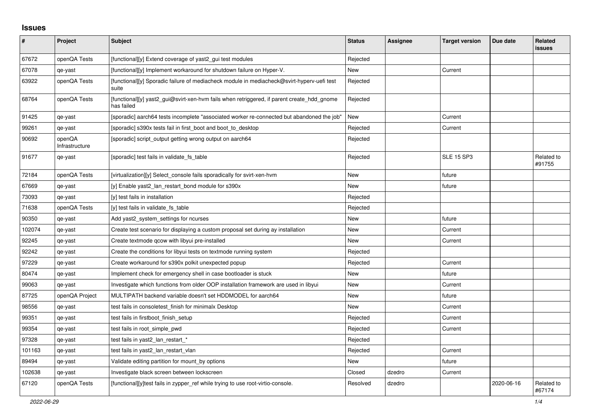## **Issues**

| #      | Project                  | Subject                                                                                                  | <b>Status</b> | <b>Assignee</b> | <b>Target version</b> | Due date   | <b>Related</b><br><b>issues</b> |
|--------|--------------------------|----------------------------------------------------------------------------------------------------------|---------------|-----------------|-----------------------|------------|---------------------------------|
| 67672  | openQA Tests             | [functional][y] Extend coverage of yast2_gui test modules                                                | Rejected      |                 |                       |            |                                 |
| 67078  | qe-yast                  | [functional][y] Implement workaround for shutdown failure on Hyper-V.                                    | New           |                 | Current               |            |                                 |
| 63922  | openQA Tests             | [functional][y] Sporadic failure of mediacheck module in mediacheck@svirt-hyperv-uefi test<br>suite      | Rejected      |                 |                       |            |                                 |
| 68764  | openQA Tests             | [functional][y] yast2_gui@svirt-xen-hvm fails when retriggered, if parent create_hdd_gnome<br>has failed | Rejected      |                 |                       |            |                                 |
| 91425  | qe-yast                  | [sporadic] aarch64 tests incomplete "associated worker re-connected but abandoned the job"               | New           |                 | Current               |            |                                 |
| 99261  | qe-yast                  | [sporadic] s390x tests fail in first_boot and boot_to_desktop                                            | Rejected      |                 | Current               |            |                                 |
| 90692  | openQA<br>Infrastructure | [sporadic] script output getting wrong output on aarch64                                                 | Rejected      |                 |                       |            |                                 |
| 91677  | qe-yast                  | [sporadic] test fails in validate_fs_table                                                               | Rejected      |                 | <b>SLE 15 SP3</b>     |            | Related to<br>#91755            |
| 72184  | openQA Tests             | [virtualization][y] Select console fails sporadically for svirt-xen-hvm                                  | New           |                 | future                |            |                                 |
| 67669  | qe-yast                  | [y] Enable yast2_lan_restart_bond module for s390x                                                       | New           |                 | future                |            |                                 |
| 73093  | qe-yast                  | [y] test fails in installation                                                                           | Rejected      |                 |                       |            |                                 |
| 71638  | openQA Tests             | [y] test fails in validate_fs_table                                                                      | Rejected      |                 |                       |            |                                 |
| 90350  | qe-yast                  | Add yast2_system_settings for ncurses                                                                    | New           |                 | future                |            |                                 |
| 102074 | qe-yast                  | Create test scenario for displaying a custom proposal set during ay installation                         | New           |                 | Current               |            |                                 |
| 92245  | qe-yast                  | Create textmode gcow with libyui pre-installed                                                           | New           |                 | Current               |            |                                 |
| 92242  | qe-yast                  | Create the conditions for libyui tests on textmode running system                                        | Rejected      |                 |                       |            |                                 |
| 97229  | qe-yast                  | Create workaround for s390x polkit unexpected popup                                                      | Rejected      |                 | Current               |            |                                 |
| 80474  | qe-yast                  | Implement check for emergency shell in case bootloader is stuck                                          | <b>New</b>    |                 | future                |            |                                 |
| 99063  | qe-yast                  | Investigate which functions from older OOP installation framework are used in libyui                     | <b>New</b>    |                 | Current               |            |                                 |
| 87725  | openQA Project           | MULTIPATH backend variable doesn't set HDDMODEL for aarch64                                              | <b>New</b>    |                 | future                |            |                                 |
| 98556  | qe-yast                  | test fails in consoletest finish for minimalx Desktop                                                    | New           |                 | Current               |            |                                 |
| 99351  | qe-yast                  | test fails in firstboot_finish_setup                                                                     | Rejected      |                 | Current               |            |                                 |
| 99354  | qe-yast                  | test fails in root_simple_pwd                                                                            | Rejected      |                 | Current               |            |                                 |
| 97328  | qe-yast                  | test fails in yast2_lan_restart_*                                                                        | Rejected      |                 |                       |            |                                 |
| 101163 | qe-yast                  | test fails in yast2_lan_restart_vlan                                                                     | Rejected      |                 | Current               |            |                                 |
| 89494  | qe-yast                  | Validate editing partition for mount by options                                                          | <b>New</b>    |                 | future                |            |                                 |
| 102638 | qe-yast                  | Investigate black screen between lockscreen                                                              | Closed        | dzedro          | Current               |            |                                 |
| 67120  | openQA Tests             | [functional][y]test fails in zypper ref while trying to use root-virtio-console.                         | Resolved      | dzedro          |                       | 2020-06-16 | Related to<br>#67174            |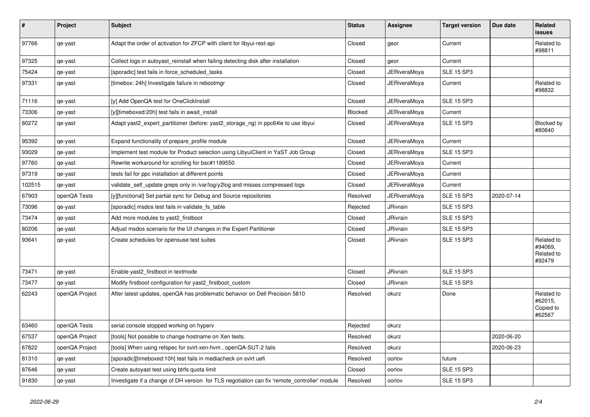| $\pmb{\#}$ | Project        | <b>Subject</b>                                                                               | <b>Status</b> | Assignee            | <b>Target version</b> | Due date   | Related<br><b>issues</b>                      |
|------------|----------------|----------------------------------------------------------------------------------------------|---------------|---------------------|-----------------------|------------|-----------------------------------------------|
| 97766      | qe-yast        | Adapt the order of activation for ZFCP with client for libyui-rest-api                       | Closed        | geor                | Current               |            | Related to<br>#98811                          |
| 97325      | qe-yast        | Collect logs in autoyast_reinstall when failing detecting disk after installation            | Closed        | geor                | Current               |            |                                               |
| 75424      | qe-yast        | [sporadic] test fails in force_scheduled_tasks                                               | Closed        | JERiveraMoya        | <b>SLE 15 SP3</b>     |            |                                               |
| 97331      | qe-yast        | [timebox: 24h] Investigate failure in rebootmgr                                              | Closed        | JERiveraMoya        | Current               |            | Related to<br>#98832                          |
| 71116      | qe-yast        | [y] Add OpenQA test for OneClickInstall                                                      | Closed        | JERiveraMoya        | <b>SLE 15 SP3</b>     |            |                                               |
| 73306      | qe-yast        | [y][timeboxed:20h] test fails in await install                                               | Blocked       | JERiveraMoya        | Current               |            |                                               |
| 80272      | qe-yast        | Adapt yast2 expert partitioner (before: yast2 storage ng) in ppc64le to use libyui           | Closed        | JERiveraMoya        | <b>SLE 15 SP3</b>     |            | Blocked by<br>#80840                          |
| 95392      | qe-yast        | Expand functionality of prepare_profile module                                               | Closed        | <b>JERiveraMoya</b> | Current               |            |                                               |
| 93029      | qe-yast        | Implement test module for Product selection using LibyuiClient in YaST Job Group             | Closed        | JERiveraMoya        | <b>SLE 15 SP3</b>     |            |                                               |
| 97760      | qe-yast        | Rewrite workaround for scrolling for bsc#1189550                                             | Closed        | JERiveraMoya        | Current               |            |                                               |
| 97319      | qe-yast        | tests fail for ppc installation at different points                                          | Closed        | <b>JERiveraMoya</b> | Current               |            |                                               |
| 102515     | qe-yast        | validate_self_update greps only in /var/log/y2log and misses compressed logs                 | Closed        | <b>JERiveraMova</b> | Current               |            |                                               |
| 67903      | openQA Tests   | [y][functional] Set partial sync for Debug and Source repositories                           | Resolved      | JERiveraMova        | <b>SLE 15 SP3</b>     | 2020-07-14 |                                               |
| 73096      | qe-yast        | [sporadic] msdos test fails in validate fs table                                             | Rejected      | <b>JRivrain</b>     | <b>SLE 15 SP3</b>     |            |                                               |
| 73474      | qe-yast        | Add more modules to yast2 firstboot                                                          | Closed        | JRivrain            | <b>SLE 15 SP3</b>     |            |                                               |
| 80206      | qe-yast        | Adjust msdos scenario for the UI changes in the Expert Partitioner                           | Closed        | <b>JRivrain</b>     | <b>SLE 15 SP3</b>     |            |                                               |
| 93641      | qe-yast        | Create schedules for opensuse test suites                                                    | Closed        | <b>JRivrain</b>     | <b>SLE 15 SP3</b>     |            | Related to<br>#94069,<br>Related to<br>#92479 |
| 73471      | qe-yast        | Enable yast2 firstboot in textmode                                                           | Closed        | <b>JRivrain</b>     | <b>SLE 15 SP3</b>     |            |                                               |
| 73477      | qe-yast        | Modify firstboot configuration for yast2 firstboot custom                                    | Closed        | <b>JRivrain</b>     | <b>SLE 15 SP3</b>     |            |                                               |
| 62243      | openQA Project | After latest updates, openQA has problematic behavior on Dell Precision 5810                 | Resolved      | okurz               | Done                  |            | Related to<br>#62015,<br>Copied to<br>#62567  |
| 63460      | openQA Tests   | serial console stopped working on hyperv                                                     | Rejected      | okurz               |                       |            |                                               |
| 67537      | openQA Project | [tools] Not possible to change hostname on Xen tests.                                        | Resolved      | okurz               |                       | 2020-06-20 |                                               |
| 67822      | openQA Project | [tools] When using refspec for svirt-xen-hvm, openQA-SUT-2 fails                             | Resolved      | okurz               |                       | 2020-06-23 |                                               |
| 81310      | qe-yast        | [sporadic][timeboxed:10h] test fails in mediacheck on svirt uefi                             | Resolved      | oorlov              | future                |            |                                               |
| 87646      | qe-yast        | Create autoyast test using btrfs quota limit                                                 | Closed        | oorlov              | <b>SLE 15 SP3</b>     |            |                                               |
| 91830      | qe-yast        | Investigate if a change of DH version for TLS negotiation can fix 'remote_controller' module | Resolved      | oorlov              | <b>SLE 15 SP3</b>     |            |                                               |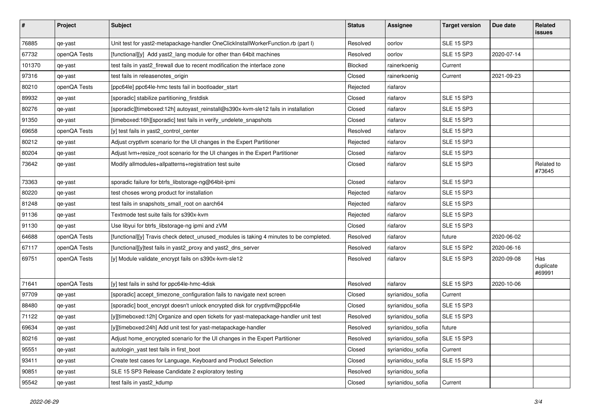| $\vert$ # | Project      | <b>Subject</b>                                                                          | <b>Status</b>  | <b>Assignee</b>  | <b>Target version</b> | Due date   | Related<br><b>issues</b>   |
|-----------|--------------|-----------------------------------------------------------------------------------------|----------------|------------------|-----------------------|------------|----------------------------|
| 76885     | qe-yast      | Unit test for yast2-metapackage-handler OneClickInstallWorkerFunction.rb (part I)       | Resolved       | oorlov           | <b>SLE 15 SP3</b>     |            |                            |
| 67732     | openQA Tests | [functional][y] Add yast2_lang module for other than 64bit machines                     | Resolved       | oorlov           | <b>SLE 15 SP3</b>     | 2020-07-14 |                            |
| 101370    | qe-yast      | test fails in yast2_firewall due to recent modification the interface zone              | <b>Blocked</b> | rainerkoenig     | Current               |            |                            |
| 97316     | qe-yast      | test fails in releasenotes_origin                                                       | Closed         | rainerkoenig     | Current               | 2021-09-23 |                            |
| 80210     | openQA Tests | [ppc64le] ppc64le-hmc tests fail in bootloader_start                                    | Rejected       | riafarov         |                       |            |                            |
| 89932     | qe-yast      | [sporadic] stabilize partitioning_firstdisk                                             | Closed         | riafarov         | <b>SLE 15 SP3</b>     |            |                            |
| 80276     | qe-yast      | [sporadic][timeboxed:12h] autoyast_reinstall@s390x-kvm-sle12 fails in installation      | Closed         | riafarov         | <b>SLE 15 SP3</b>     |            |                            |
| 91350     | qe-yast      | [timeboxed:16h][sporadic] test fails in verify_undelete_snapshots                       | Closed         | riafarov         | <b>SLE 15 SP3</b>     |            |                            |
| 69658     | openQA Tests | [y] test fails in yast2_control_center                                                  | Resolved       | riafarov         | <b>SLE 15 SP3</b>     |            |                            |
| 80212     | qe-yast      | Adjust cryptlvm scenario for the UI changes in the Expert Partitioner                   | Rejected       | riafarov         | <b>SLE 15 SP3</b>     |            |                            |
| 80204     | qe-yast      | Adjust lvm+resize_root scenario for the UI changes in the Expert Partitioner            | Closed         | riafarov         | <b>SLE 15 SP3</b>     |            |                            |
| 73642     | qe-yast      | Modify allmodules+allpatterns+registration test suite                                   | Closed         | riafarov         | <b>SLE 15 SP3</b>     |            | Related to<br>#73645       |
| 73363     | qe-yast      | sporadic failure for btrfs_libstorage-ng@64bit-ipmi                                     | Closed         | riafarov         | <b>SLE 15 SP3</b>     |            |                            |
| 80220     | qe-yast      | test choses wrong product for installation                                              | Rejected       | riafarov         | <b>SLE 15 SP3</b>     |            |                            |
| 81248     | qe-yast      | test fails in snapshots_small_root on aarch64                                           | Rejected       | riafarov         | <b>SLE 15 SP3</b>     |            |                            |
| 91136     | qe-yast      | Textmode test suite fails for s390x-kvm                                                 | Rejected       | riafarov         | <b>SLE 15 SP3</b>     |            |                            |
| 91130     | qe-yast      | Use libyui for btrfs libstorage-ng ipmi and zVM                                         | Closed         | riafarov         | <b>SLE 15 SP3</b>     |            |                            |
| 64688     | openQA Tests | [functional][y] Travis check detect_unused_modules is taking 4 minutes to be completed. | Resolved       | riafarov         | future                | 2020-06-02 |                            |
| 67117     | openQA Tests | [functional][y]test fails in yast2 proxy and yast2 dns server                           | Resolved       | riafarov         | <b>SLE 15 SP2</b>     | 2020-06-16 |                            |
| 69751     | openQA Tests | [y] Module validate_encrypt fails on s390x-kvm-sle12                                    | Resolved       | riafarov         | <b>SLE 15 SP3</b>     | 2020-09-08 | Has<br>duplicate<br>#69991 |
| 71641     | openQA Tests | [y] test fails in sshd for ppc64le-hmc-4disk                                            | Resolved       | riafarov         | <b>SLE 15 SP3</b>     | 2020-10-06 |                            |
| 97709     | qe-yast      | [sporadic] accept_timezone_configuration fails to navigate next screen                  | Closed         | syrianidou_sofia | Current               |            |                            |
| 88480     | qe-yast      | [sporadic] boot_encrypt doesn't unlock encrypted disk for cryptlvm@ppc64le              | Closed         | syrianidou_sofia | <b>SLE 15 SP3</b>     |            |                            |
| 71122     | qe-yast      | [y][timeboxed:12h] Organize and open tickets for yast-matepackage-handler unit test     | Resolved       | syrianidou_sofia | <b>SLE 15 SP3</b>     |            |                            |
| 69634     | qe-yast      | [y][timeboxed:24h] Add unit test for yast-metapackage-handler                           | Resolved       | syrianidou_sofia | future                |            |                            |
| 80216     | qe-yast      | Adjust home_encrypted scenario for the UI changes in the Expert Partitioner             | Resolved       | syrianidou_sofia | <b>SLE 15 SP3</b>     |            |                            |
| 95551     | qe-yast      | autologin_yast test fails in first_boot                                                 | Closed         | syrianidou_sofia | Current               |            |                            |
| 93411     | qe-yast      | Create test cases for Language, Keyboard and Product Selection                          | Closed         | syrianidou_sofia | <b>SLE 15 SP3</b>     |            |                            |
| 90851     | qe-yast      | SLE 15 SP3 Release Candidate 2 exploratory testing                                      | Resolved       | syrianidou_sofia |                       |            |                            |
| 95542     | qe-yast      | test fails in yast2_kdump                                                               | Closed         | syrianidou_sofia | Current               |            |                            |